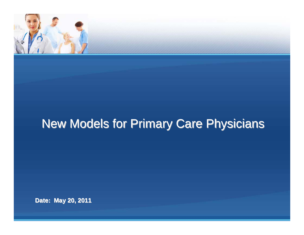

# **New Models for Primary Care Physicians**

**Date: May 20, 2011 Date: May 20, 2011**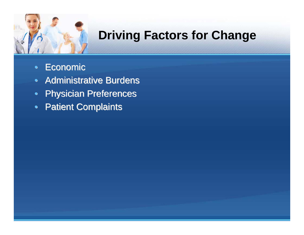

# **Driving Factors for Change**

- •• Economic
- Administrative Burdens
- Physician Preferences
- Patient Complaints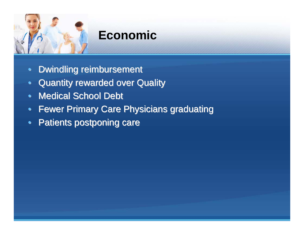

## **Economic**

- $\bullet$ Dwindling reimbursement
- Quantity rewarded over Quality
- Medical School Debt
- Fewer Primary Care Physicians graduating
- •Patients postponing care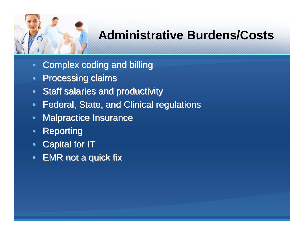

### **Administrative Burdens/Costs**

- $\bullet$ Complex coding and billing Complex coding and billing
- $\bullet$ **Processing claims**
- Staff salaries and productivity
- $\bullet$ Federal, State, and Clinical regulations
- $\bullet$ **Malpractice Insurance**
- $\bullet$ **Reporting**
- $\bullet$ **Capital for IT**
- •EMR not a quick fix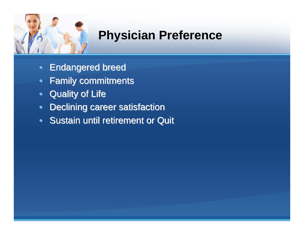

#### **Physician Preference**

- Endangered breed
- •**Family commitments**
- Quality of Life
- •Declining career satisfaction
- Sustain until retirement or Quit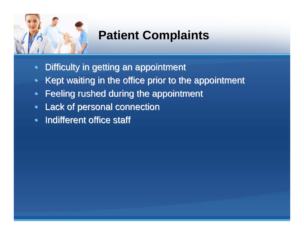

# **Patient Complaints**

- $\bullet$ Difficulty in getting an appointment
- $\bullet$ Kept waiting in the office prior to the appointment
- •Feeling rushed during the appointment
- Lack of personal connection
- Indifferent office staff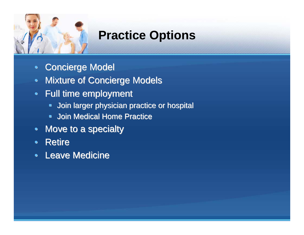

## **Practice Options**

- $\bullet$ **Concierge Model**
- $\bullet$ **Mixture of Concierge Models**
- Full time employment
	- $\blacksquare$ Join larger physician practice or hospital Join larger physician practice or hospital
	- $\blacksquare$ **Join Medical Home Practice**
- Move to a specialty
- Retire
- Leave Medicine